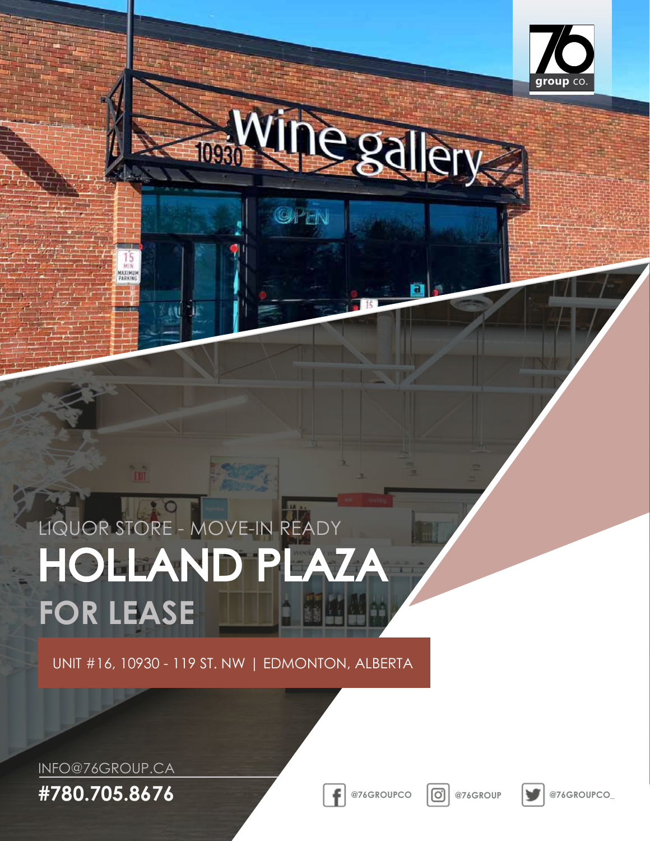

egallery 1093

GPEN

# HOLLAND PLAZA **FOR LEASE** LIQUOR STORE - MOVE-IN READY

UNIT #16, 10930 - 119 ST. NW | EDMONTON, ALBERTA

INFO@76GROUP.CA

KAXIMU<br>PARKIN

**#780.705.8676 @76GROUPCO @76GROUP @76GROUPCO\_**